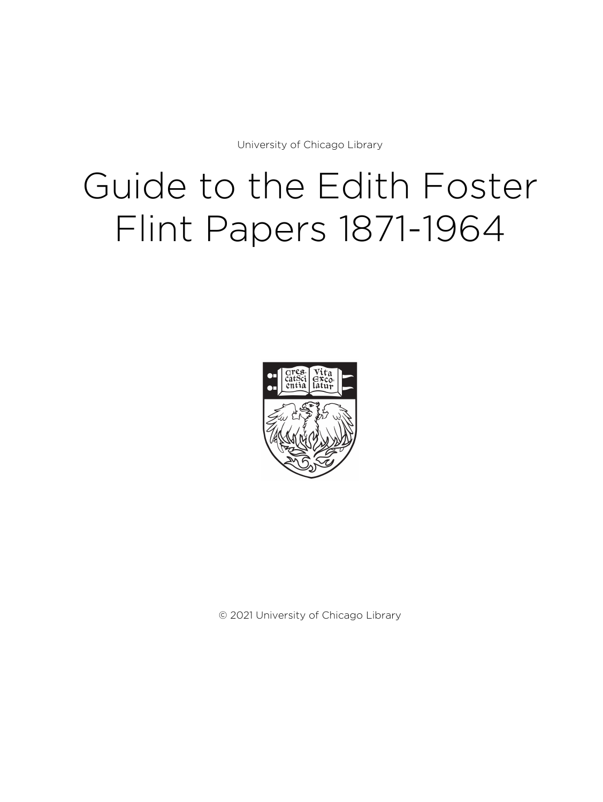University of Chicago Library

# Guide to the Edith Foster Flint Papers 1871-1964



© 2021 University of Chicago Library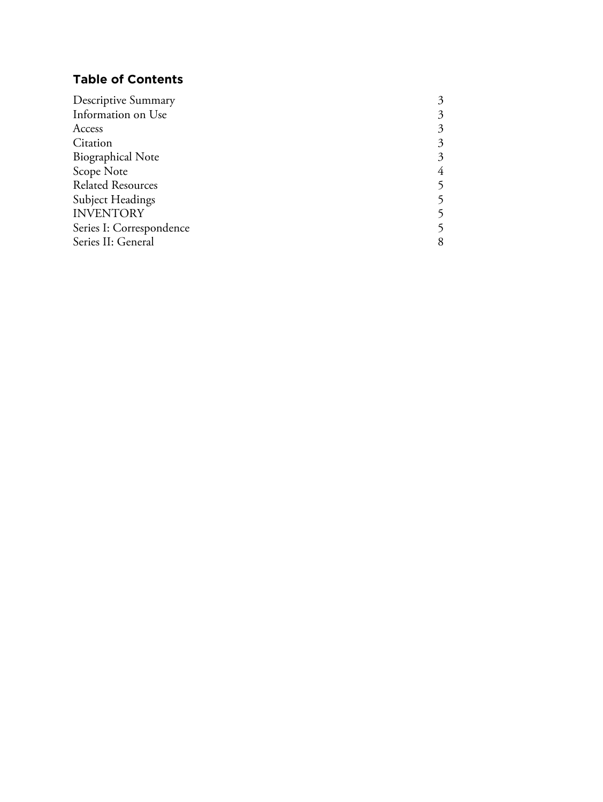# **Table of Contents**

| <b>Descriptive Summary</b> | 3 |
|----------------------------|---|
| Information on Use         | 3 |
| Access                     | 3 |
| Citation                   | 3 |
| <b>Biographical Note</b>   | 3 |
| Scope Note                 | 4 |
| <b>Related Resources</b>   |   |
| Subject Headings           |   |
| <b>INVENTORY</b>           |   |
| Series I: Correspondence   |   |
| Series II: General         | 8 |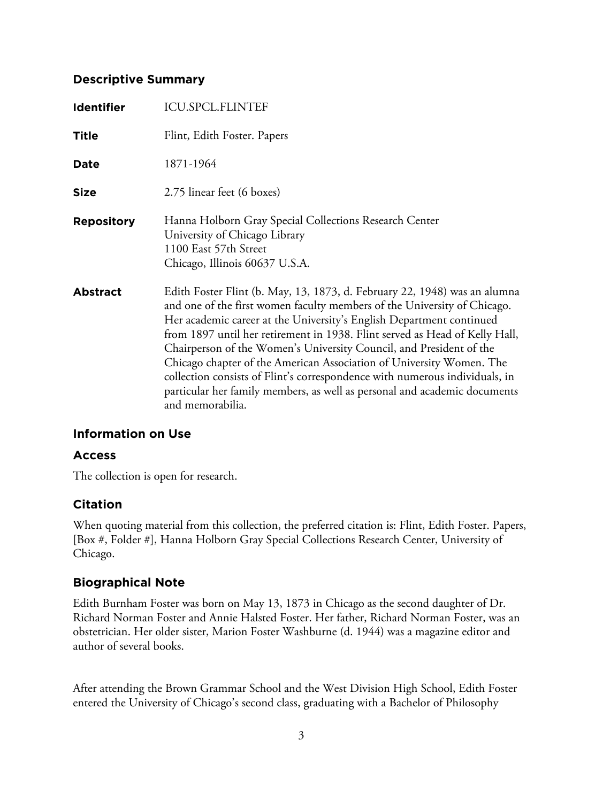### **Descriptive Summary**

| <b>Identifier</b> | <b>ICU.SPCL.FLINTEF</b>                                                                                                                                                                                                                                                                                                                                                                                                                                                                                                                                                                                                                     |
|-------------------|---------------------------------------------------------------------------------------------------------------------------------------------------------------------------------------------------------------------------------------------------------------------------------------------------------------------------------------------------------------------------------------------------------------------------------------------------------------------------------------------------------------------------------------------------------------------------------------------------------------------------------------------|
| <b>Title</b>      | Flint, Edith Foster. Papers                                                                                                                                                                                                                                                                                                                                                                                                                                                                                                                                                                                                                 |
| <b>Date</b>       | 1871-1964                                                                                                                                                                                                                                                                                                                                                                                                                                                                                                                                                                                                                                   |
| <b>Size</b>       | 2.75 linear feet (6 boxes)                                                                                                                                                                                                                                                                                                                                                                                                                                                                                                                                                                                                                  |
| <b>Repository</b> | Hanna Holborn Gray Special Collections Research Center<br>University of Chicago Library<br>1100 East 57th Street<br>Chicago, Illinois 60637 U.S.A.                                                                                                                                                                                                                                                                                                                                                                                                                                                                                          |
| <b>Abstract</b>   | Edith Foster Flint (b. May, 13, 1873, d. February 22, 1948) was an alumna<br>and one of the first women faculty members of the University of Chicago.<br>Her academic career at the University's English Department continued<br>from 1897 until her retirement in 1938. Flint served as Head of Kelly Hall,<br>Chairperson of the Women's University Council, and President of the<br>Chicago chapter of the American Association of University Women. The<br>collection consists of Flint's correspondence with numerous individuals, in<br>particular her family members, as well as personal and academic documents<br>and memorabilia. |

## **Information on Use**

### **Access**

The collection is open for research.

### **Citation**

When quoting material from this collection, the preferred citation is: Flint, Edith Foster. Papers, [Box #, Folder #], Hanna Holborn Gray Special Collections Research Center, University of Chicago.

## **Biographical Note**

Edith Burnham Foster was born on May 13, 1873 in Chicago as the second daughter of Dr. Richard Norman Foster and Annie Halsted Foster. Her father, Richard Norman Foster, was an obstetrician. Her older sister, Marion Foster Washburne (d. 1944) was a magazine editor and author of several books.

After attending the Brown Grammar School and the West Division High School, Edith Foster entered the University of Chicago's second class, graduating with a Bachelor of Philosophy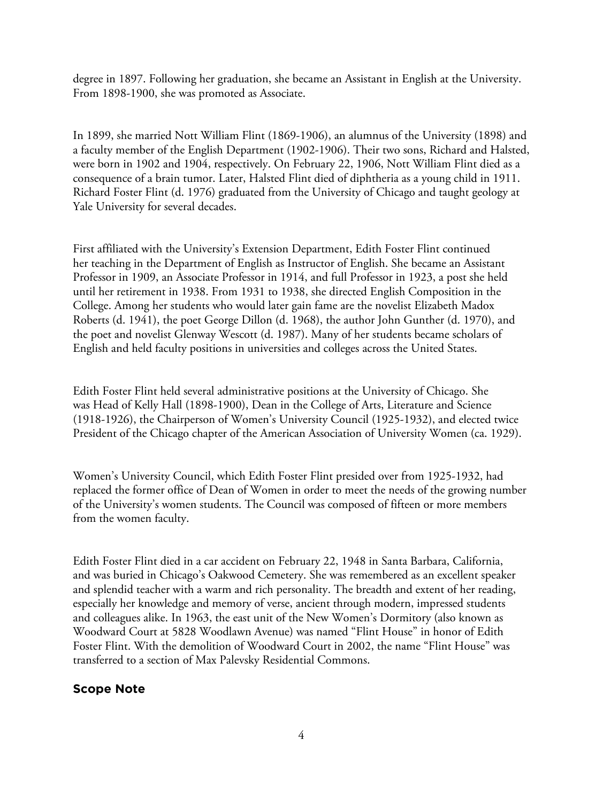degree in 1897. Following her graduation, she became an Assistant in English at the University. From 1898-1900, she was promoted as Associate.

In 1899, she married Nott William Flint (1869-1906), an alumnus of the University (1898) and a faculty member of the English Department (1902-1906). Their two sons, Richard and Halsted, were born in 1902 and 1904, respectively. On February 22, 1906, Nott William Flint died as a consequence of a brain tumor. Later, Halsted Flint died of diphtheria as a young child in 1911. Richard Foster Flint (d. 1976) graduated from the University of Chicago and taught geology at Yale University for several decades.

First affiliated with the University's Extension Department, Edith Foster Flint continued her teaching in the Department of English as Instructor of English. She became an Assistant Professor in 1909, an Associate Professor in 1914, and full Professor in 1923, a post she held until her retirement in 1938. From 1931 to 1938, she directed English Composition in the College. Among her students who would later gain fame are the novelist Elizabeth Madox Roberts (d. 1941), the poet George Dillon (d. 1968), the author John Gunther (d. 1970), and the poet and novelist Glenway Wescott (d. 1987). Many of her students became scholars of English and held faculty positions in universities and colleges across the United States.

Edith Foster Flint held several administrative positions at the University of Chicago. She was Head of Kelly Hall (1898-1900), Dean in the College of Arts, Literature and Science (1918-1926), the Chairperson of Women's University Council (1925-1932), and elected twice President of the Chicago chapter of the American Association of University Women (ca. 1929).

Women's University Council, which Edith Foster Flint presided over from 1925-1932, had replaced the former office of Dean of Women in order to meet the needs of the growing number of the University's women students. The Council was composed of fifteen or more members from the women faculty.

Edith Foster Flint died in a car accident on February 22, 1948 in Santa Barbara, California, and was buried in Chicago's Oakwood Cemetery. She was remembered as an excellent speaker and splendid teacher with a warm and rich personality. The breadth and extent of her reading, especially her knowledge and memory of verse, ancient through modern, impressed students and colleagues alike. In 1963, the east unit of the New Women's Dormitory (also known as Woodward Court at 5828 Woodlawn Avenue) was named "Flint House" in honor of Edith Foster Flint. With the demolition of Woodward Court in 2002, the name "Flint House" was transferred to a section of Max Palevsky Residential Commons.

### **Scope Note**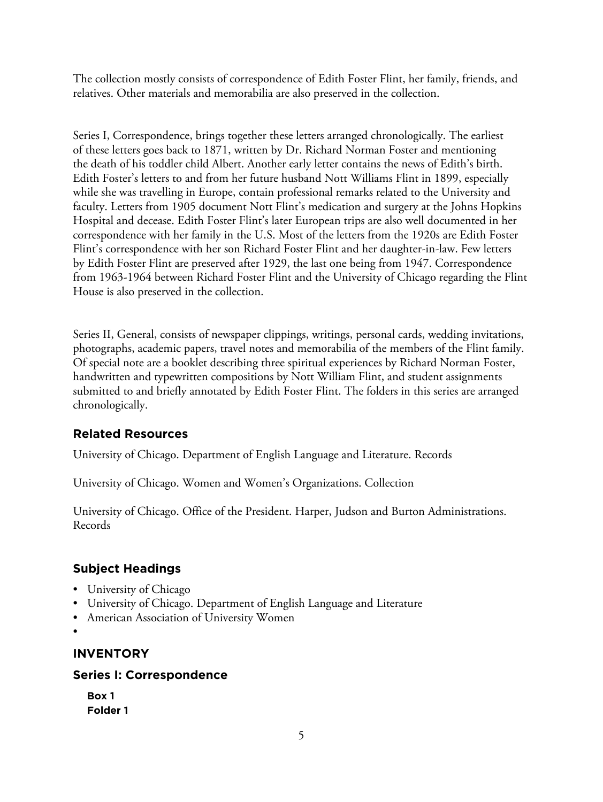The collection mostly consists of correspondence of Edith Foster Flint, her family, friends, and relatives. Other materials and memorabilia are also preserved in the collection.

Series I, Correspondence, brings together these letters arranged chronologically. The earliest of these letters goes back to 1871, written by Dr. Richard Norman Foster and mentioning the death of his toddler child Albert. Another early letter contains the news of Edith's birth. Edith Foster's letters to and from her future husband Nott Williams Flint in 1899, especially while she was travelling in Europe, contain professional remarks related to the University and faculty. Letters from 1905 document Nott Flint's medication and surgery at the Johns Hopkins Hospital and decease. Edith Foster Flint's later European trips are also well documented in her correspondence with her family in the U.S. Most of the letters from the 1920s are Edith Foster Flint's correspondence with her son Richard Foster Flint and her daughter-in-law. Few letters by Edith Foster Flint are preserved after 1929, the last one being from 1947. Correspondence from 1963-1964 between Richard Foster Flint and the University of Chicago regarding the Flint House is also preserved in the collection.

Series II, General, consists of newspaper clippings, writings, personal cards, wedding invitations, photographs, academic papers, travel notes and memorabilia of the members of the Flint family. Of special note are a booklet describing three spiritual experiences by Richard Norman Foster, handwritten and typewritten compositions by Nott William Flint, and student assignments submitted to and briefly annotated by Edith Foster Flint. The folders in this series are arranged chronologically.

# **Related Resources**

University of Chicago. Department of English Language and Literature. Records

University of Chicago. Women and Women's Organizations. Collection

University of Chicago. Office of the President. Harper, Judson and Burton Administrations. Records

## **Subject Headings**

- University of Chicago
- University of Chicago. Department of English Language and Literature
- American Association of University Women
- •

## **INVENTORY**

### **Series I: Correspondence**

**Box 1 Folder 1**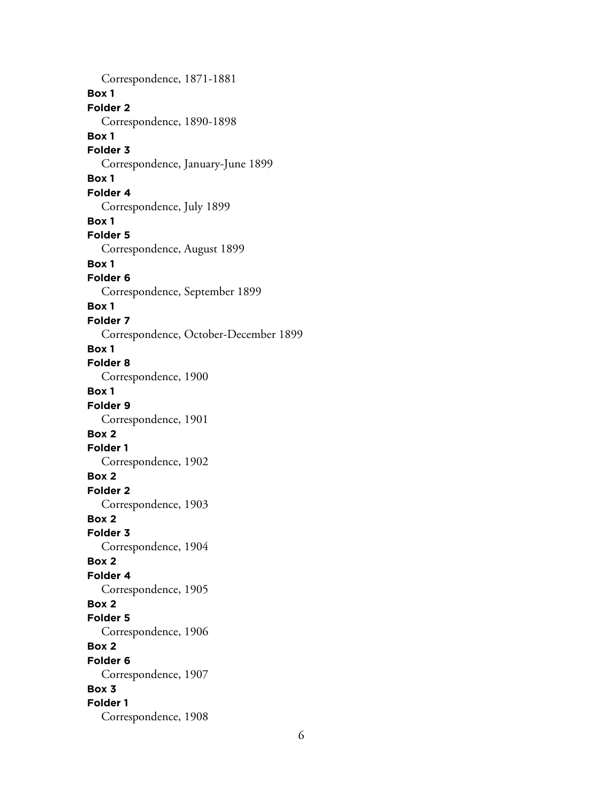Correspondence, 1871-1881 **Box 1 Folder 2** Correspondence, 1890-1898 **Box 1 Folder 3** Correspondence, January-June 1899 **Box 1 Folder 4** Correspondence, July 1899 **Box 1 Folder 5** Correspondence, August 1899 **Box 1 Folder 6** Correspondence, September 1899 **Box 1 Folder 7** Correspondence, October-December 1899 **Box 1 Folder 8** Correspondence, 1900 **Box 1 Folder 9** Correspondence, 1901 **Box 2 Folder 1** Correspondence, 1902 **Box 2 Folder 2** Correspondence, 1903 **Box 2 Folder 3** Correspondence, 1904 **Box 2 Folder 4** Correspondence, 1905 **Box 2 Folder 5** Correspondence, 1906 **Box 2 Folder 6** Correspondence, 1907 **Box 3 Folder 1** Correspondence, 1908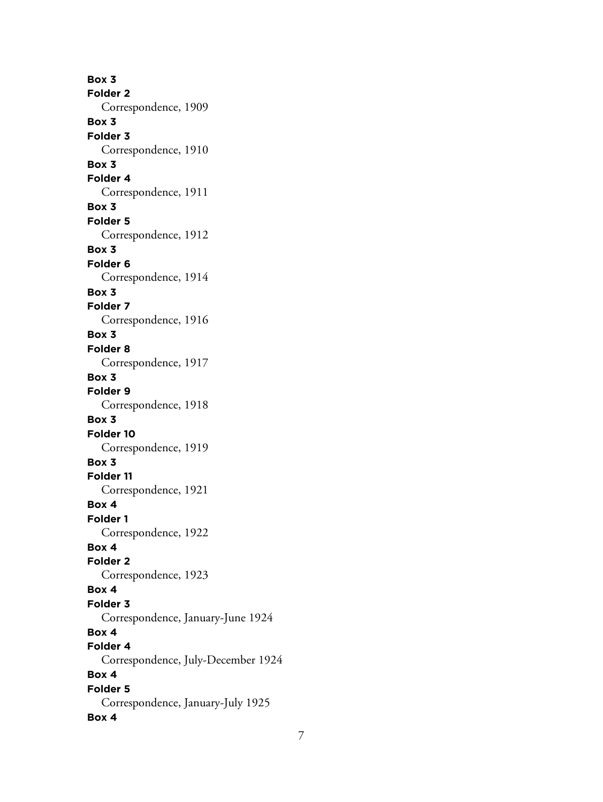**Box 3 Folder 2** Correspondence, 1909 **Box 3 Folder 3** Correspondence, 1910 **Box 3 Folder 4** Correspondence, 1911 **Box 3 Folder 5** Correspondence, 1912 **Box 3 Folder 6** Correspondence, 1914 **Box 3 Folder 7** Correspondence, 1916 **Box 3 Folder 8** Correspondence, 1917 **Box 3 Folder 9** Correspondence, 1918 **Box 3 Folder 10** Correspondence, 1919 **Box 3 Folder 11** Correspondence, 1921 **Box 4 Folder 1** Correspondence, 1922 **Box 4 Folder 2** Correspondence, 1923 **Box 4 Folder 3** Correspondence, January-June 1924 **Box 4 Folder 4** Correspondence, July-December 1924 **Box 4 Folder 5** Correspondence, January-July 1925 **Box 4**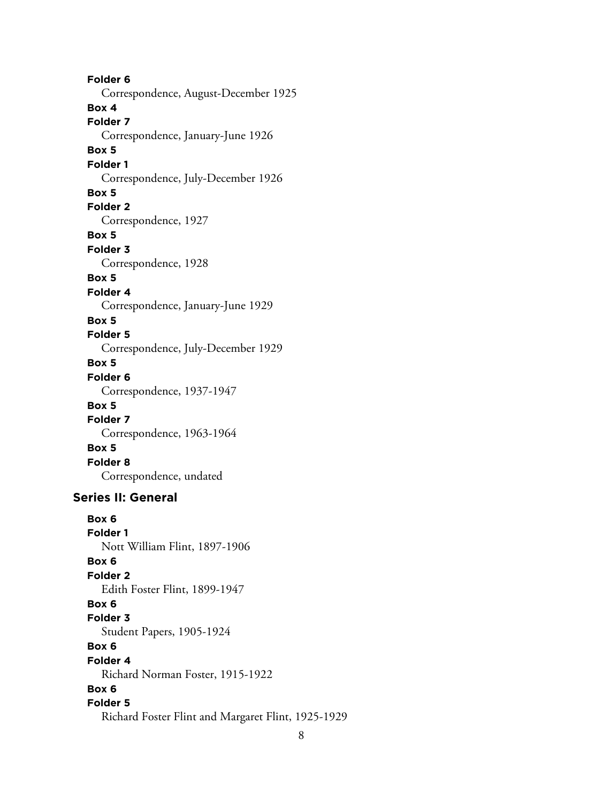**Folder 6** Correspondence, August-December 1925 **Box 4 Folder 7** Correspondence, January-June 1926 **Box 5 Folder 1** Correspondence, July-December 1926 **Box 5 Folder 2** Correspondence, 1927 **Box 5 Folder 3** Correspondence, 1928 **Box 5 Folder 4** Correspondence, January-June 1929 **Box 5 Folder 5** Correspondence, July-December 1929 **Box 5 Folder 6** Correspondence, 1937-1947 **Box 5 Folder 7** Correspondence, 1963-1964 **Box 5 Folder 8** Correspondence, undated **Series II: General Box 6 Folder 1** Nott William Flint, 1897-1906 **Box 6 Folder 2** Edith Foster Flint, 1899-1947 **Box 6 Folder 3** Student Papers, 1905-1924 **Box 6 Folder 4** Richard Norman Foster, 1915-1922

## **Box 6**

#### **Folder 5**

Richard Foster Flint and Margaret Flint, 1925-1929